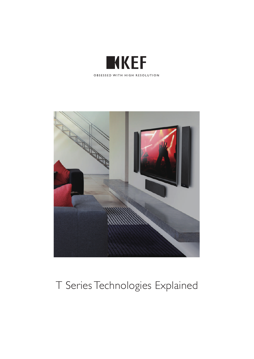



# T Series Technologies Explained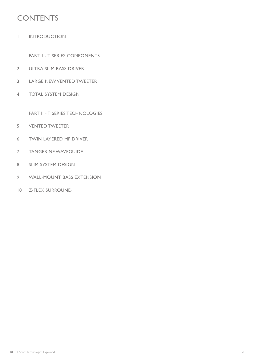# **CONTENTS**

1 INTRODUCTION

PART I - T SERIES COMPONENTS

- 2 ULTRA SLIM BASS DRIVER
- 3 LARGE NEW VENTED TWEETER
- 4 TOTAL SYSTEM DESIGN

PART II - T SERIES TECHNOLOGIES

- 5 VENTED TWEETER
- 6 TWIN LAYERED MF DRIVER
- 7 TANGERINE WAVEGUIDE
- 8 SLIM SYSTEM DESIGN
- 9 WALL-MOUNT BASS EXTENSION
- 10 Z-FLEX SURROUND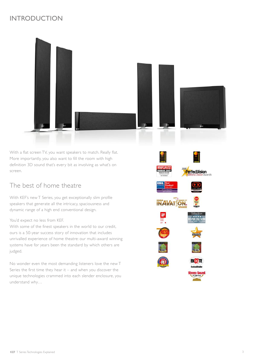# **INTRODUCTION**



With a flat screen TV, you want speakers to match. Really flat. More importantly, you also want to fill the room with high definition 3D sound that's every bit as involving as what's on screen.

# The best of home theatre

With KEF's new T Series, you get exceptionally slim profile speakers that generate all the intricacy, spaciousness and dynamic range of a high end conventional design.

#### You'd expect no less from KEF.

With some of the finest speakers in the world to our credit, ours is a 50-year success story of innovation that includes unrivalled experience of home theatre: our multi-award winning systems have for years been the standard by which others are judged.

No wonder even the most demanding listeners love the new T Series the first time they hear it – and when you discover the unique technologies crammed into each slender enclosure, you understand why…

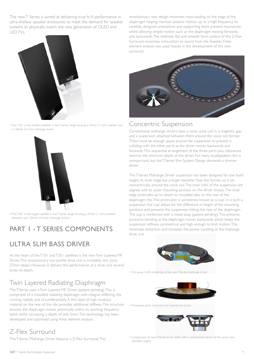The new T Series is aimed at delivering true hi-fi performance in ultra-shallow speaker enclosures to meet the demand for speaker systems to physically match the new generation of OLED and LED TVs.



• The T101 is the smallest satellite in the T-series range housing a 25mm (1 inch) tweeter and a 120mm (4 inch) midrange driver



• The T301 is the largest satellite in the T-series range housing a 25mm (1 inch) tweeter between two 120mm (4 inch) midrange drivers

# PART 1 - T SERIES COMPONENTS

# ULTRA SLIM BASS DRIVER

At the heart of the T101 and T301 satellites is the new Twin Layered MF Driver. This revolutionary low profile drive unit is incredibly slim (only 27mm deep). However, it delivers the performance of a drive unit several times its depth.

# Twin Layered Radiating Diaphragm

The T-Series uses a Twin Layered MF Driver (patent pending). This is comprised of a moulded radiating diaphragm with integral stiffening ribs running radially and circumferentially. A thin layer of high modulus material on the rear of the ribs provides additional stiffness. This structure ensures the diaphragm moves pistonically within its working frequency band, whilst occupying a depth of only 5mm. This technology has been developed and optimised using finite element analysis.

# Z-Flex Surround

The T-Series Midrange Driver features a Z-Flex Surround. This

revolutionary new design minimises mass-loading on the edge of the diaphragm helping maintain pistonic motion up to a high frequency. Its carefully designed undulations and supporting block prevent resonances whilst allowing simple motion such as the diaphragm moving forwards and backwards. The relatively flat and smooth form surface of the Z-Flex Surround minimises colouration to sound from the Tweeter. Finite element analysis was used heavily in the development of this new surround.



### Concentric Suspension

Conventional midrange drivers have a cone, voice coil in a magnetic gap, and a suspension attached between them around the voice coil former. There must be enough space around the suspension to prevent it colliding with the other parts as the driver moves backwards and forwards. This sequential arrangement of the three parts plus clearances restricts the minimum depth of the driver. For many loudspeakers this is unimportant, but the T-Series Slim System Design demands a slimmer driver.

The T-Series Midrange Driver suspension has been designed for low build height. Its inner edge has a larger diameter than the former, so it sits concentrically around the voice coil. The main 'rolls' of the suspension are aligned with its outer mounting position on the driver chassis. The inner edge protrudes up to attach to moulded tabs on the rear of the diaphragm ribs. This protrusion is sometimes known as a 'cup', in a such a suspension the 'cup' allows for the difference in height of the mounting positions and prevents the suspension hitting the rear of the diaphragm. The cup is reinforced with a metal loop (patent pending). This prevents excessive bending as the diaphragm moves backwards which keeps the suspension stiffness symmetrical and high enough to limit motion. This minimises distortion and increases the power handling of the midrange drive unit.



• Cut-away CAD rendering of the new T-Series midrange driver.



• Prototype parts show the twin layered structure.



• Comparison of new T-Series driver (left) with a conventional driver of the same cone diameter (right).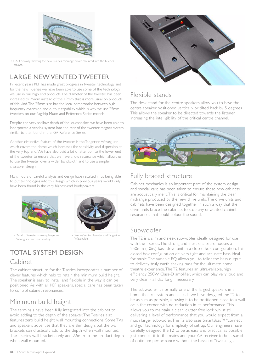

• CAD cutaway showing the new T-Series midrange driver mounted into the T-Series cabinet.

# LARGE NEW VENTED TWEETER

In recent years KEF has made great progress in tweeter technology and for the new T-Series we have been able to use some of the technology we use in our high end products. The diameter of the tweeter has been increased to 25mm instead of the 19mm that is more usual on products of this kind. The 25mm size has the ideal compromise between high frequency extension and output capability which is why we use 25mm tweeters on our flagship Muon and Reference Series models.

Despite the very shallow depth of the loudspeaker we have been able to incorporate a venting system into the rear of the tweeter magnet system similar to that found in the KEF Reference Series.

Another distinctive feature of the tweeter is the Tangerine Waveguide which covers the dome which increases the sensitivity and dispersion at the very top end. We have also paid a lot of attention to the lower end of the tweeter to ensure that we have a low resonance which allows us to use the tweeter over a wider bandwidth and to use a simpler crossover design.

Many hours of careful analysis and design have resulted in us being able to put technologies into this design which in previous years would only have been found in the very highest-end loudspeakers.





• Detail of tweeter showing Tangerine Waveguide and rear venting.

• T-series Vented Tweeter and Tangerine Waveguide.

# TOTAL SYSTEM DESIGN

#### Cabinet

The cabinet structure for the T-series incorporates a number of clever features which help to retain the minimum build height. The speaker is easy to install and flexible in the way it can be positioned. As with all KEF speakers, special care has been taken to control cabinet resonances.

# Minimum build height

The terminals have been fully integrated into the cabinet to avoid adding to the depth of the speaker. The T-series also features zero build height wall mounting connections. Some TVs and speakers advertise that they are slim design, but the wall brackets can drastically add to the depth when wall mounted. The T-series wall brackets only add 2.5mm to the product depth when wall mounted.



### Flexible stands

The desk stand for the centre speakers allow you to have the centre speaker positioned vertically or tilted back by 5 degrees. This allows the speaker to be directed towards the listener, increasing the intelligibility of the critical centre channel.



# Fully braced structure

Cabinet mechanics is an important part of the system design and special care has been taken to ensure these new cabinets are acoustically inert. This is critical for maintaining the clean midrange produced by the new drive units. The drive units and cabinets have been designed together in such a way that the drive units brace the cabinets to stop any unwanted cabinet resonances that could colour the sound.

# Subwoofer

The T2 is a slim and sleek subwoofer ideally designed for use with the T-series. The strong and inert enclosure houses a 250mm (10in.) bass drive unit in a closed box configuration. This closed box configuration delivers tight and accurate bass ideal for music. The variable EQ allows you to tailor the bass output to delivery truly earth shaking bass for the ultimate home theatre experience. The T2 features an ultra-reliable, high efficiency 250W Class-D amplifier, which can play very loud and very clean - all day long if necessary.

The subwoofer is normally one of the largest speakers in a home theatre system and as such we have designed the T2 to be as slim as possible, allowing it to be positioned close to a wall or in the corner with no reduction in its performance. This allows you to maintain a clean, clutter free look whilst still delivering a level of performance that you would expect from a much larger subwoofer. The T2 also uses SmartBass™ "connect and go" technology for simplicity of set up. Our engineers have carefully designed the T2 to be as easy and practical as possible; just connect it to the mains and your AV receiver to be assured of optimum performance without the hassle of "tweaking".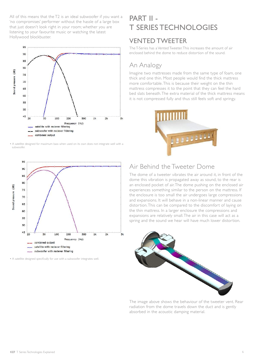All of this means that the T2 is an ideal subwoofer if you want a 'no compromises' performer without the hassle of a large box that just doesn't look right in your room; whether you are listening to your favourite music or watching the latest Hollywood blockbuster.



• A satellite designed for maximum bass when used on its own does not integrate well with a subwoofer.



• A satellite designed specifically for use with a subwoofer integrates well.

# PART II - T SERIES TECHNOLOGIES

#### VENTED TWEETER

The T-Series has a Vented Tweeter. This increases the amount of air enclosed behind the dome to reduce distortion of the sound.

# An Analogy

Imagine two mattresses made from the same type of foam, one thick and one thin. Most people would find the thick mattress more comfortable. This is because their weight on the thin mattress compresses it to the point that they can feel the hard bed slats beneath. The extra material of the thick mattress means it is not compressed fully and thus still feels soft and springy.



## Air Behind the Tweeter Dome

The dome of a tweeter vibrates the air around it, in front of the dome this vibration is propagated away as sound, to the rear is an enclosed pocket of air. The dome pushing on the enclosed air experiences something similar to the person on the mattress. If the enclosure is too small the air undergoes large compressions and expansions. It will behave in a non-linear manner and cause distortion. This can be compared to the discomfort of laying on the thin mattress. In a larger enclosure the compressions and expansions are relatively small. The air in this case will act as a spring and the sound we hear will have much lower distortion.



The image above shows the behaviour of the tweeter vent. Rear radiation from the dome travels down the duct and is gently absorbed in the acoustic damping material.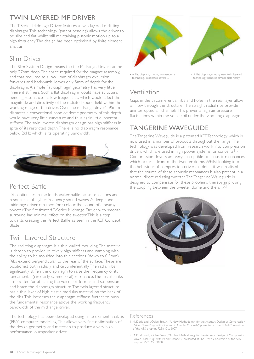# TWIN LAYERED MF DRIVER

The T-Series Midrange Driver features a twin layered radiating diaphragm. This technology (patent pending) allows the driver to be slim and flat whilst still maintaining pistonic motion up to a high frequency. The design has been optimised by finite element analysis.

# Slim Driver

The Slim System Design means the the Midrange Driver can be only 27mm deep. The space required for the magnet assembly, and that required to allow 4mm of diaphragm excursion forwards and backwards, leaves only 5mm of depth for the diaphragm. A simple flat diaphragm geometry has very little inherent stiffness. Such a flat diaphragm would have structural bending resonances at low frequencies, which would affect the magnitude and directivity of the radiated sound field within the working range of the driver. Over the midrange driver's 95mm diameter a conventional cone or dome geometry of this depth would have very little curvature and thus again little inherent stiffness. The twin layered diaphragm design has high stiffness in spite of its restricted depth. There is no diaphragm resonance below 2kHz which is its operating bandwidth.



# Perfect Baffle

Discontinuities in the loudspeaker baffle cause reflections and resonances of higher frequency sound waves. A deep cone midrange driver can therefore colour the sound of a nearby tweeter. The flat fronted T-Series Midrange Driver with smooth surround has minimal effect on the tweeter. This is a step towards creating the Perfect Baffle as seen in the KEF Concept Blade.

# Twin Layered Structure

The radiating diaphragm is a thin walled moulding. The material is chosen to provide relatively high stiffness and damping with the ability to be moulded into thin sections (down to 0.3mm). Ribs extend perpendicular to the rear of the surface. These are positioned both radially and circumferentially. The radial ribs significantly stiffen the diaphragm to raise the frequency of its fundamental (circularly symmetrical) resonance. The circular ribs are located for attaching the voice coil former and suspension and brace the diaphragm structure.The twin layered structure has a thin layer of high elastic modulus material on the back of the ribs. This increases the diaphragm stiffness further to push the fundamental resonance above the working frequency bandwidth of the midrange driver.

The technology has been developed using finite element analysis (FEA) computer modelling. This allows very fine optimisation of the design geometry and materials to produce a very high performance loudspeaker driver.





• A flat diaphragm using new twin layered technology behaves almost pistonically.

• A flat diaphragm using conventional technology resonates severely.

# Ventilation

Gaps in the circumferential ribs and holes in the rear layer allow air flow through the structure. The straight radial ribs provide uninterrupted air channels. This prevents high air pressure fluctuations within the voice coil under the vibrating diaphragm.

# TANGERINE WAVFGUIDE

The Tangerine Waveguide is a patented KEF Technology which is now used in a number of products throughout the range. The technology was developed from research work into compression drivers which are used in high power systems for concerts.<sup>[1]</sup> Compression drivers are very susceptible to acoustic resonances which occur in front of the tweeter dome. Whilst looking into the behaviour of compression drivers in detail, it was realised that the source of these acoustic resonances is also present in a normal direct radiating tweeter. The Tangerine Waveguide is designed to compensate for these problems thereby improving the coupling between the tweeter dome and the air.<sup>[2]</sup>



#### References

<sup>1.</sup> M. Dodd and J. Oclee-Brown, "A New Methodology for the Acoustic Design of Compression Driver Phase Plugs with Concentric Annular Channels," presented at The 123rd Convention of the AES, preprint 7258, Oct 2007.

<sup>2.</sup> M. Dodd and I. Oclee-Brown, "A New Methodology for the Acoustic Design of Compression Driver Phase Plugs with Radial Channels," presented at The 125th Convention of the AES, preprint 7532, Oct 2008.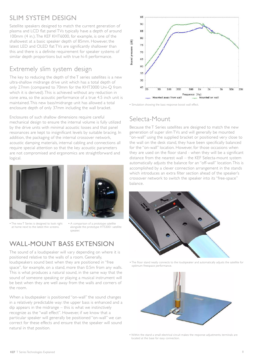# SLIM SYSTEM DESIGN

Satellite speakers designed to match the current generation of plasma and LCD flat panel TVs typically have a depth of around 100mm (4 in.). The KEF KHT6000, for example, is one of the shallowest at a basic speaker depth of 85mm. However, the latest LED and OLED flat TVs are significantly shallower than this and there is a definite requirement for speaker systems of similar depth proportions but with true hi-fi performance.

# Extremely slim system design

The key to reducing the depth of the T series satellites is a new ultra-shallow midrange drive unit which has a total depth of only 27mm (compared to 70mm for the KHT3000 Uni-Q from which it is derived). This is achieved without any reduction in cone area, so the acoustic performance of a true 4.5 inch unit is maintained. This new bass/midrange unit has allowed a total enclosure depth of only 37mm including the wall bracket.

Enclosures of such shallow dimensions require careful mechanical design to ensure the internal volume is fully utilized by the drive units with minimal acoustic losses and that panel resonances are kept to insignificant levels by suitable bracing. In addition, the packaging of the internal crossover network, acoustic damping materials, internal cabling and connections all require special attention so that the key acoustic parameters are not compromised and ergonomics are straightforward and logical.



• The new T Series is designed to look right at home next to the latest thin screens.



• A comparison of a prototype satellite alongside the prototype HTS3001 satellite speaker.

# WALL-MOUNT BASS EXTENSION

The sound of a loudspeaker will vary depending on where it is positioned relative to the walls of a room. Generally, loudspeakers sound best when they are positioned in "free space", for example, on a stand, more than 0.5m from any walls. This is what produces a natural sound, in the same way that the sound of someone speaking or playing a musical instrument will be best when they are well away from the walls and corners of the room.

When a loudspeaker is positioned "on-wall" the sound changes in a relatively predictable way: the upper bass is enhanced and a dip appears in the midrange – this is what we instinctively recognize as the "wall effect". However, if we know that a particular speaker will generally be positioned "on-wall" we can correct for these effects and ensure that the speaker will sound natural in that position.



• Simulation showing the bass response boost wall effect.

### Selecta-Mount

Because the T Series satellites are designed to match the new generation of super slim TVs and will generally be mounted "on-wall" using the supplied bracket or positioned very close to the wall on the desk stand, they have been specifically balanced for the "on-wall" location. However, for those occasions when they are used on the floor stand - when they will be a significant distance from the nearest wall – the KEF Selecta-mount system automatically adjusts the balance for an "off-wall" location. This is accomplished by a clever connection arrangement in the stands which introduces an extra filter section ahead of the speaker's crossover network to switch the speaker into its "free-space" balance.



• The floor stand neatly connects to the loudspeaker and automatically adjusts the satellite for optimum freespace performance.



• Within the stand a small electrical circuit makes the response adjustments, terminals are located at the base for easy connection.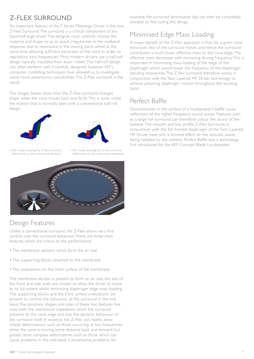# Z-FLEX SURROUND

An important feature of the T Series Midrange Driver is the new Z-Flex Surround. The surround is a critical component of any bass/midrange driver. The designer must carefully choose the material and shape so as to avoid irregularities in the midband response due to resonance in the moving parts whilst at the same time allowing sufficient excursion of the cone in order to reproduce bass frequencies. Most modern drivers use a half-roll design typically moulded from butyl rubber. The half-roll design can often perform well if carefully designed, however, KEF's computer modelling techniques have allowed us to investigate some more adventurous possibilities. The Z-Flex surround is the result.

The images below show how the Z-Flex surround changes shape when the cone moves back and forth. This is quite unlike the motion that is normally seen with a conventional half-roll design.





• FEA model showing the Z-Flex surround deformation as the cone moves forward.

• FEA model showing the Z-Flex surround deformation as the cone moves backward.



# Design Features

Unlike a conventional surround, the Z-Flex allows very fine control over the surround behaviour. There are three main features which are critical to the performance:

- The membrane sections which form the air seal
- The supporting blocks attached to the membrane
- The undulations on the front surface of the membrane

The membrane section is present to form an air seal, the size of the front and side walls are chosen to allow the driver to move to its full extent whilst minimising diaphragm edge mass loading. The supporting blocks and the front surface undulations are present to control the behaviour of the surround in the mid band. The positions, shapes and sizes of these two features fine tune both the mechanical impedance which the surround presents to the cone edge and also the dynamic behaviour of the surround itself. In essence, the Z-Flex will readily allow simple deformations, such as those occurring at low frequencies when the cone is moving some distance back and forward, but greatly resist complex deformations such as those which can cause problems in the mid-band. Conventional problems, for

example the surround termination dip, can then be completely avoided by fine tuning the design.

# Minimised Edge Mass Loading

A major benefit of the Z-Flex approach is that, for a given cone excursion, less of the surround moves and hence the surround contributes a much lower effective mass to the cone edge. The effective mass decreases with increasing driving frequency. This is important in minimising mass-loading of the edge of the diaphragm which would lower the frequency of the diaphragm bending resonances. The Z-flex surround therefore works in conjunction with the Twin Layered MF Driver technology to achieve pistoning diaphragm motion throughout the working band.

# Perfect Baffle

Discontinuities in the surface of a loudspeaker's baffle cause reflections of the higher frequency sound waves. Features such as a large roll surround can therefore colour the sound of the tweeter. The smooth and low profile Z-Flex Surround, in conjunction with the flat fronted diaphragm of the Twin Layered MF Driver, have only a minimal effect on the acoustic waves being radiated by the tweeter. Perfect Baffle was a technology first introduced for the KEF Concept Blade Loudspeaker.